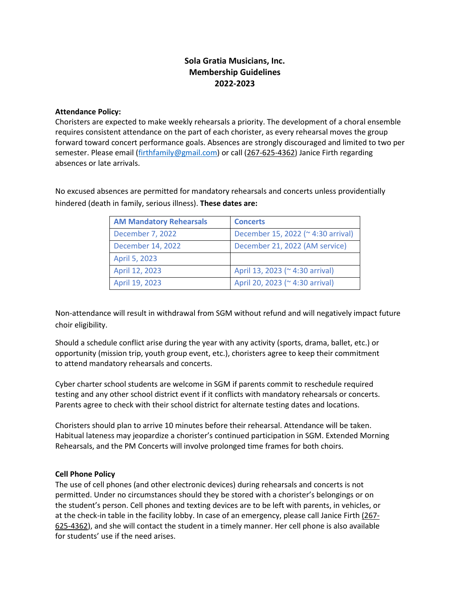# **Sola Gratia Musicians, Inc. Membership Guidelines 2022-2023**

# **Attendance Policy:**

Choristers are expected to make weekly rehearsals a priority. The development of a choral ensemble requires consistent attendance on the part of each chorister, as every rehearsal moves the group forward toward concert performance goals. Absences are strongly discouraged and limited to two per semester. Please email (firthfamily@gmail.com) or call (267-625-4362) Janice Firth regarding absences or late arrivals.

No excused absences are permitted for mandatory rehearsals and concerts unless providentially hindered (death in family, serious illness). **These dates are:** 

| <b>AM Mandatory Rehearsals</b> | <b>Concerts</b>                    |
|--------------------------------|------------------------------------|
| December 7, 2022               | December 15, 2022 (~ 4:30 arrival) |
| December 14, 2022              | December 21, 2022 (AM service)     |
| April 5, 2023                  |                                    |
| April 12, 2023                 | April 13, 2023 (~4:30 arrival)     |
| April 19, 2023                 | April 20, 2023 (~4:30 arrival)     |

Non-attendance will result in withdrawal from SGM without refund and will negatively impact future choir eligibility.

Should a schedule conflict arise during the year with any activity (sports, drama, ballet, etc.) or opportunity (mission trip, youth group event, etc.), choristers agree to keep their commitment to attend mandatory rehearsals and concerts.

Cyber charter school students are welcome in SGM if parents commit to reschedule required testing and any other school district event if it conflicts with mandatory rehearsals or concerts. Parents agree to check with their school district for alternate testing dates and locations.

Choristers should plan to arrive 10 minutes before their rehearsal. Attendance will be taken. Habitual lateness may jeopardize a chorister's continued participation in SGM. Extended Morning Rehearsals, and the PM Concerts will involve prolonged time frames for both choirs.

# **Cell Phone Policy**

The use of cell phones (and other electronic devices) during rehearsals and concerts is not permitted. Under no circumstances should they be stored with a chorister's belongings or on the student's person. Cell phones and texting devices are to be left with parents, in vehicles, or at the check-in table in the facility lobby. In case of an emergency, please call Janice Firth  $(267-$ 625-4362), and she will contact the student in a timely manner. Her cell phone is also available for students' use if the need arises.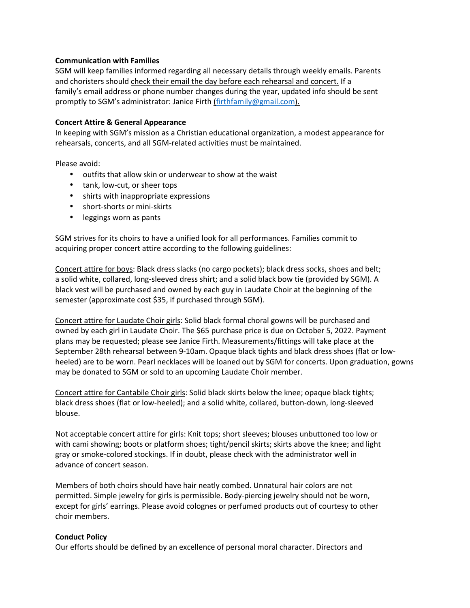# **Communication with Families**

SGM will keep families informed regarding all necessary details through weekly emails. Parents and choristers should check their email the day before each rehearsal and concert. If a family's email address or phone number changes during the year, updated info should be sent promptly to SGM's administrator: Janice Firth (firthfamily@gmail.com).

# **Concert Attire & General Appearance**

In keeping with SGM's mission as a Christian educational organization, a modest appearance for rehearsals, concerts, and all SGM-related activities must be maintained.

Please avoid:

- outfits that allow skin or underwear to show at the waist
- tank, low-cut, or sheer tops
- shirts with inappropriate expressions
- short-shorts or mini-skirts
- leggings worn as pants

SGM strives for its choirs to have a unified look for all performances. Families commit to acquiring proper concert attire according to the following guidelines:

Concert attire for boys: Black dress slacks (no cargo pockets); black dress socks, shoes and belt; a solid white, collared, long-sleeved dress shirt; and a solid black bow tie (provided by SGM). A black vest will be purchased and owned by each guy in Laudate Choir at the beginning of the semester (approximate cost \$35, if purchased through SGM).

Concert attire for Laudate Choir girls: Solid black formal choral gowns will be purchased and owned by each girl in Laudate Choir. The \$65 purchase price is due on October 5, 2022. Payment plans may be requested; please see Janice Firth. Measurements/fittings will take place at the September 28th rehearsal between 9-10am. Opaque black tights and black dress shoes (flat or lowheeled) are to be worn. Pearl necklaces will be loaned out by SGM for concerts. Upon graduation, gowns may be donated to SGM or sold to an upcoming Laudate Choir member.

Concert attire for Cantabile Choir girls: Solid black skirts below the knee; opaque black tights; black dress shoes (flat or low-heeled); and a solid white, collared, button-down, long-sleeved blouse.

Not acceptable concert attire for girls: Knit tops; short sleeves; blouses unbuttoned too low or with cami showing; boots or platform shoes; tight/pencil skirts; skirts above the knee; and light gray or smoke-colored stockings. If in doubt, please check with the administrator well in advance of concert season.

Members of both choirs should have hair neatly combed. Unnatural hair colors are not permitted. Simple jewelry for girls is permissible. Body-piercing jewelry should not be worn, except for girls' earrings. Please avoid colognes or perfumed products out of courtesy to other choir members.

# **Conduct Policy**

Our efforts should be defined by an excellence of personal moral character. Directors and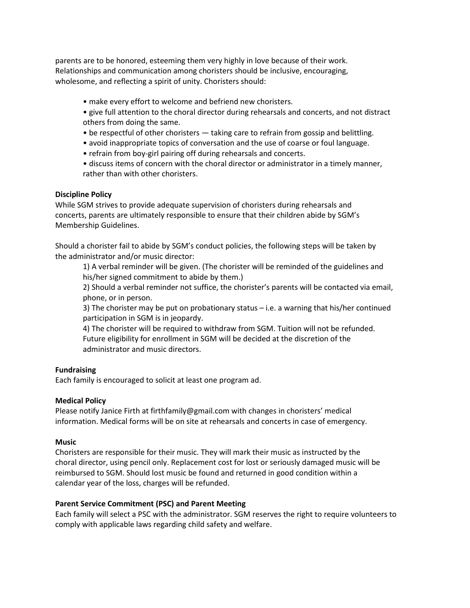parents are to be honored, esteeming them very highly in love because of their work. Relationships and communication among choristers should be inclusive, encouraging, wholesome, and reflecting a spirit of unity. Choristers should:

- make every effort to welcome and befriend new choristers.
- give full attention to the choral director during rehearsals and concerts, and not distract others from doing the same.
- be respectful of other choristers taking care to refrain from gossip and belittling.
- avoid inappropriate topics of conversation and the use of coarse or foul language.
- refrain from boy-girl pairing off during rehearsals and concerts.
- discuss items of concern with the choral director or administrator in a timely manner, rather than with other choristers.

#### **Discipline Policy**

While SGM strives to provide adequate supervision of choristers during rehearsals and concerts, parents are ultimately responsible to ensure that their children abide by SGM's Membership Guidelines.

Should a chorister fail to abide by SGM's conduct policies, the following steps will be taken by the administrator and/or music director:

1) A verbal reminder will be given. (The chorister will be reminded of the guidelines and his/her signed commitment to abide by them.)

2) Should a verbal reminder not suffice, the chorister's parents will be contacted via email, phone, or in person.

3) The chorister may be put on probationary status – i.e. a warning that his/her continued participation in SGM is in jeopardy.

4) The chorister will be required to withdraw from SGM. Tuition will not be refunded. Future eligibility for enrollment in SGM will be decided at the discretion of the administrator and music directors.

# **Fundraising**

Each family is encouraged to solicit at least one program ad.

# **Medical Policy**

Please notify Janice Firth at firthfamily@gmail.com with changes in choristers' medical information. Medical forms will be on site at rehearsals and concerts in case of emergency.

#### **Music**

Choristers are responsible for their music. They will mark their music as instructed by the choral director, using pencil only. Replacement cost for lost or seriously damaged music will be reimbursed to SGM. Should lost music be found and returned in good condition within a calendar year of the loss, charges will be refunded.

#### **Parent Service Commitment (PSC) and Parent Meeting**

Each family will select a PSC with the administrator. SGM reserves the right to require volunteers to comply with applicable laws regarding child safety and welfare.